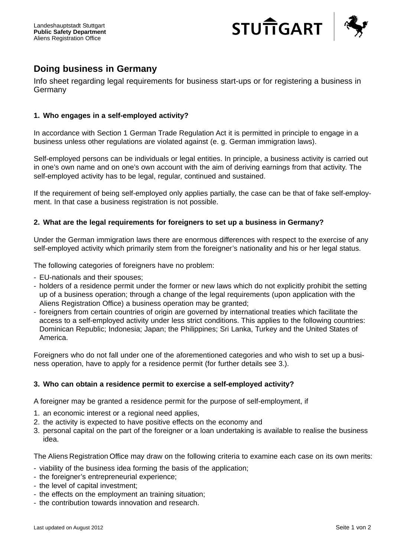

# **Doing business in Germany**

Info sheet regarding legal requirements for business start-ups or for registering a business in Germany

# **1. Who engages in a self-employed activity?**

In accordance with Section 1 German Trade Regulation Act it is permitted in principle to engage in a business unless other regulations are violated against (e. g. German immigration laws).

Self-employed persons can be individuals or legal entities. In principle, a business activity is carried out in one's own name and on one's own account with the aim of deriving earnings from that activity. The self-employed activity has to be legal, regular, continued and sustained.

If the requirement of being self-employed only applies partially, the case can be that of fake self-employment. In that case a business registration is not possible.

## **2. What are the legal requirements for foreigners to set up a business in Germany?**

Under the German immigration laws there are enormous differences with respect to the exercise of any self-employed activity which primarily stem from the foreigner's nationality and his or her legal status.

The following categories of foreigners have no problem:

- EU-nationals and their spouses;
- holders of a residence permit under the former or new laws which do not explicitly prohibit the setting up of a business operation; through a change of the legal requirements (upon application with the Aliens Registration Office) a business operation may be granted;
- foreigners from certain countries of origin are governed by international treaties which facilitate the access to a self-employed activity under less strict conditions. This applies to the following countries: Dominican Republic; Indonesia; Japan; the Philippines; Sri Lanka, Turkey and the United States of America.

Foreigners who do not fall under one of the aforementioned categories and who wish to set up a business operation, have to apply for a residence permit (for further details see 3.).

#### **3. Who can obtain a residence permit to exercise a self-employed activity?**

A foreigner may be granted a residence permit for the purpose of self-employment, if

- 1. an economic interest or a regional need applies,
- 2. the activity is expected to have positive effects on the economy and
- 3. personal capital on the part of the foreigner or a loan undertaking is available to realise the business idea.

The Aliens Registration Office may draw on the following criteria to examine each case on its own merits:

- viability of the business idea forming the basis of the application;
- the foreigner's entrepreneurial experience;
- the level of capital investment;
- the effects on the employment an training situation;
- the contribution towards innovation and research.